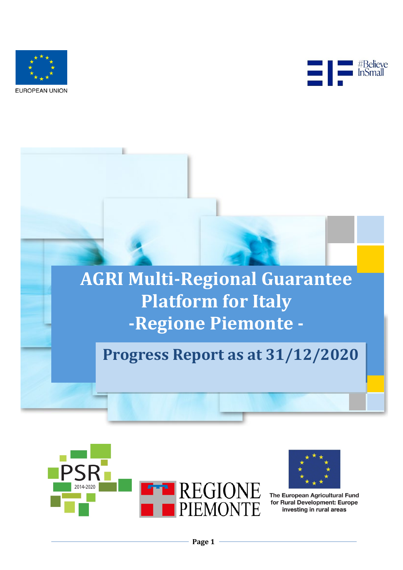









The European Agricultural Fund for Rural Development: Europe investing in rural areas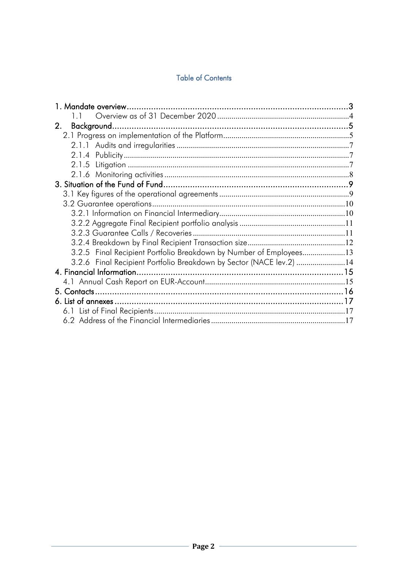### **Table of Contents**

| $\begin{array}{ccc} 1 & 1 \end{array}$                              |  |
|---------------------------------------------------------------------|--|
| 2.                                                                  |  |
|                                                                     |  |
|                                                                     |  |
|                                                                     |  |
|                                                                     |  |
|                                                                     |  |
|                                                                     |  |
|                                                                     |  |
|                                                                     |  |
|                                                                     |  |
|                                                                     |  |
|                                                                     |  |
|                                                                     |  |
| 3.2.5 Final Recipient Portfolio Breakdown by Number of Employees13  |  |
| 3.2.6 Final Recipient Portfolio Breakdown by Sector (NACE lev.2) 14 |  |
|                                                                     |  |
|                                                                     |  |
|                                                                     |  |
|                                                                     |  |
|                                                                     |  |
|                                                                     |  |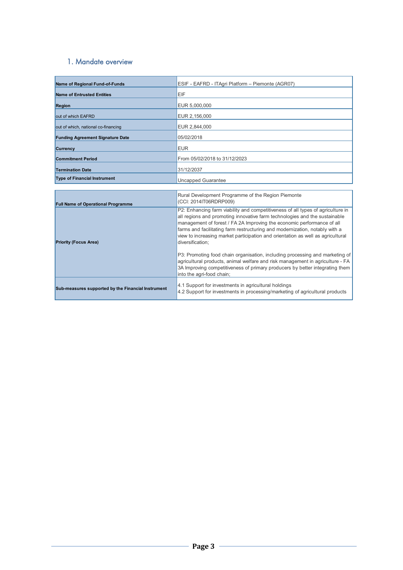### <span id="page-2-0"></span>1. Mandate overview

| Name of Regional Fund-of-Funds                     | ESIF - EAFRD - ITAgri Platform - Piemonte (AGR07)                                                                                                                                                                                                                                                                                                                                                                                                                                                                                                                                                                                                                              |
|----------------------------------------------------|--------------------------------------------------------------------------------------------------------------------------------------------------------------------------------------------------------------------------------------------------------------------------------------------------------------------------------------------------------------------------------------------------------------------------------------------------------------------------------------------------------------------------------------------------------------------------------------------------------------------------------------------------------------------------------|
| <b>Name of Entrusted Entities</b>                  | EIF                                                                                                                                                                                                                                                                                                                                                                                                                                                                                                                                                                                                                                                                            |
| <b>Region</b>                                      | EUR 5,000,000                                                                                                                                                                                                                                                                                                                                                                                                                                                                                                                                                                                                                                                                  |
| out of which EAFRD                                 | EUR 2,156,000                                                                                                                                                                                                                                                                                                                                                                                                                                                                                                                                                                                                                                                                  |
| out of which, national co-financing                | EUR 2,844,000                                                                                                                                                                                                                                                                                                                                                                                                                                                                                                                                                                                                                                                                  |
| <b>Funding Agreement Signature Date</b>            | 05/02/2018                                                                                                                                                                                                                                                                                                                                                                                                                                                                                                                                                                                                                                                                     |
| <b>Currency</b>                                    | <b>EUR</b>                                                                                                                                                                                                                                                                                                                                                                                                                                                                                                                                                                                                                                                                     |
| <b>Commitment Period</b>                           | From 05/02/2018 to 31/12/2023                                                                                                                                                                                                                                                                                                                                                                                                                                                                                                                                                                                                                                                  |
| <b>Termination Date</b>                            | 31/12/2037                                                                                                                                                                                                                                                                                                                                                                                                                                                                                                                                                                                                                                                                     |
| <b>Type of Financial Instrument</b>                | <b>Uncapped Guarantee</b>                                                                                                                                                                                                                                                                                                                                                                                                                                                                                                                                                                                                                                                      |
|                                                    |                                                                                                                                                                                                                                                                                                                                                                                                                                                                                                                                                                                                                                                                                |
| <b>Full Name of Operational Programme</b>          | Rural Development Programme of the Region Piemonte<br>(CCI: 2014IT06RDRP009)                                                                                                                                                                                                                                                                                                                                                                                                                                                                                                                                                                                                   |
| <b>Priority (Focus Area)</b>                       | P2: Enhancing farm viability and competitiveness of all types of agriculture in<br>all regions and promoting innovative farm technologies and the sustainable<br>management of forest / FA 2A Improving the economic performance of all<br>farms and facilitating farm restructuring and modernization, notably with a<br>view to increasing market participation and orientation as well as agricultural<br>diversification:<br>P3: Promoting food chain organisation, including processing and marketing of<br>agricultural products, animal welfare and risk management in agriculture - FA<br>3A Improving competitiveness of primary producers by better integrating them |
| Sub-measures supported by the Financial Instrument | into the agri-food chain;<br>4.1 Support for investments in agricultural holdings<br>4.2 Support for investments in processing/marketing of agricultural products                                                                                                                                                                                                                                                                                                                                                                                                                                                                                                              |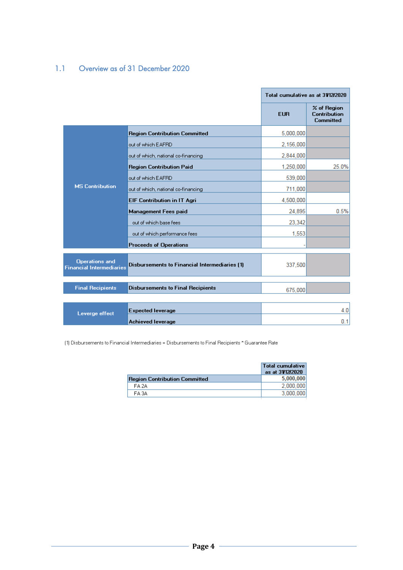### <span id="page-3-0"></span>1.1 Overview as of 31 December 2020

|                                                          |                                               | Total cumulative as at 31/12/2020 |                                                        |  |  |
|----------------------------------------------------------|-----------------------------------------------|-----------------------------------|--------------------------------------------------------|--|--|
|                                                          |                                               | <b>EUR</b>                        | % of Region<br><b>Contribution</b><br><b>Committed</b> |  |  |
|                                                          | <b>Region Contribution Committed</b>          | 5,000,000                         |                                                        |  |  |
|                                                          | out of which EAFRD                            | 2,156,000                         |                                                        |  |  |
|                                                          | out of which, national co-financing           | 2,844,000                         |                                                        |  |  |
|                                                          | <b>Region Contribution Paid</b>               | 1,250,000                         | 25.0%                                                  |  |  |
|                                                          | out of which EAFRD                            | 539,000                           |                                                        |  |  |
| <b>MS Contribution</b>                                   | out of which, national co-financing           | 711,000                           |                                                        |  |  |
|                                                          | <b>EIF Contribution in IT Agri</b>            | 4,500,000                         |                                                        |  |  |
|                                                          | <b>Management Fees paid</b>                   | 24,895                            | 0.5%                                                   |  |  |
|                                                          | out of which base fees                        | 23,342                            |                                                        |  |  |
|                                                          | out of which performance fees                 | 1,553                             |                                                        |  |  |
|                                                          | <b>Proceeds of Operations</b>                 |                                   |                                                        |  |  |
| <b>Operations</b> and<br><b>Financial Intermediaries</b> | Disbursements to Financial Intermediaries [1] | 337,500                           |                                                        |  |  |
| <b>Final Recipients</b>                                  | <b>Disbursements to Final Recipients</b>      | 675,000                           |                                                        |  |  |
| Leverge effect                                           | <b>Expected leverage</b>                      |                                   | 4.0                                                    |  |  |
|                                                          | <b>Achieved leverage</b>                      |                                   | 0.1                                                    |  |  |

(1) Disbursements to Financial Intermediaries = Disbursements to Final Recipients \* Guarantee Rate

| Total cumulative |
|------------------|
| as at 3712/2020  |
| 5.000.000        |
| 2.000.000        |
| 3.000.000        |
|                  |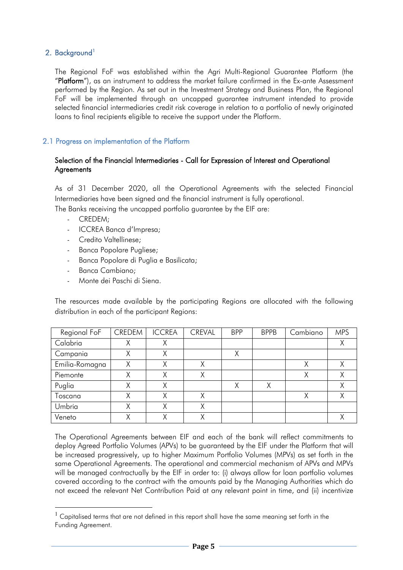### <span id="page-4-0"></span>2. Background<sup>[1](#page-4-2)</sup>

The Regional FoF was established within the Agri Multi-Regional Guarantee Platform (the "Platform"), as an instrument to address the market failure confirmed in the Ex-ante Assessment performed by the Region. As set out in the Investment Strategy and Business Plan, the Regional FoF will be implemented through an uncapped guarantee instrument intended to provide selected financial intermediaries credit risk coverage in relation to a portfolio of newly originated loans to final recipients eligible to receive the support under the Platform.

### <span id="page-4-1"></span>2.1 Progress on implementation of the Platform

#### Selection of the Financial Intermediaries - Call for Expression of Interest and Operational **Agreements**

As of 31 December 2020, all the Operational Agreements with the selected Financial Intermediaries have been signed and the financial instrument is fully operational.

The Banks receiving the uncapped portfolio guarantee by the EIF are:

- CREDEM;
- ICCREA Banca d'Impresa;
- Credito Valtellinese;
- Banca Popolare Pugliese;
- Banca Popolare di Puglia e Basilicata;
- Banca Cambiano;
- Monte dei Paschi di Siena.

The resources made available by the participating Regions are allocated with the following distribution in each of the participant Regions:

| Regional FoF   | <b>CREDEM</b> | <b>ICCREA</b> | <b>CREVAL</b> | <b>BPP</b> | <b>BPPB</b>  | Cambiano | <b>MPS</b> |
|----------------|---------------|---------------|---------------|------------|--------------|----------|------------|
| Calabria       |               |               |               |            |              |          |            |
| Campania       |               |               |               |            |              |          |            |
| Emilia-Romagna | Χ             |               | Υ             |            |              |          |            |
| Piemonte       | Χ             |               | χ             |            |              | Χ        |            |
| Puglia         |               |               |               |            | $\checkmark$ |          |            |
| Toscana        |               |               | v             |            |              |          |            |
| Umbria         |               |               |               |            |              |          |            |
| Veneto         |               |               |               |            |              |          |            |

The Operational Agreements between EIF and each of the bank will reflect commitments to deploy Agreed Portfolio Volumes (APVs) to be guaranteed by the EIF under the Platform that will be increased progressively, up to higher Maximum Portfolio Volumes (MPVs) as set forth in the same Operational Agreements. The operational and commercial mechanism of APVs and MPVs will be managed contractually by the EIF in order to: (i) always allow for loan portfolio volumes covered according to the contract with the amounts paid by the Managing Authorities which do not exceed the relevant Net Contribution Paid at any relevant point in time, and (ii) incentivize

<span id="page-4-2"></span> $1$  Capitalised terms that are not defined in this report shall have the same meaning set forth in the Funding Agreement.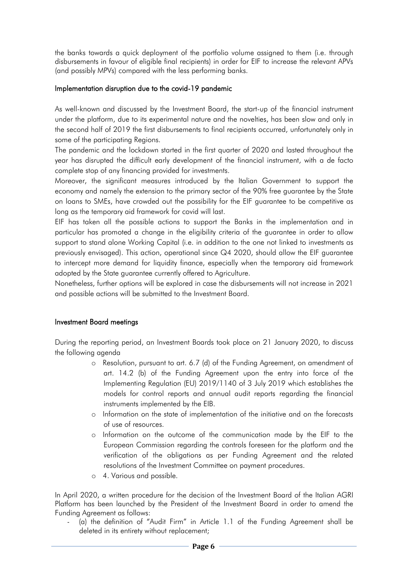the banks towards a quick deployment of the portfolio volume assigned to them (i.e. through disbursements in favour of eligible final recipients) in order for EIF to increase the relevant APVs (and possibly MPVs) compared with the less performing banks.

#### Implementation disruption due to the covid-19 pandemic

As well-known and discussed by the Investment Board, the start-up of the financial instrument under the platform, due to its experimental nature and the novelties, has been slow and only in the second half of 2019 the first disbursements to final recipients occurred, unfortunately only in some of the participating Regions.

The pandemic and the lockdown started in the first quarter of 2020 and lasted throughout the year has disrupted the difficult early development of the financial instrument, with a de facto complete stop of any financing provided for investments.

Moreover, the significant measures introduced by the Italian Government to support the economy and namely the extension to the primary sector of the 90% free guarantee by the State on loans to SMEs, have crowded out the possibility for the EIF guarantee to be competitive as long as the temporary aid framework for covid will last.

EIF has taken all the possible actions to support the Banks in the implementation and in particular has promoted a change in the eligibility criteria of the guarantee in order to allow support to stand alone Working Capital (i.e. in addition to the one not linked to investments as previously envisaged). This action, operational since Q4 2020, should allow the EIF guarantee to intercept more demand for liquidity finance, especially when the temporary aid framework adopted by the State guarantee currently offered to Agriculture.

Nonetheless, further options will be explored in case the disbursements will not increase in 2021 and possible actions will be submitted to the Investment Board.

#### Investment Board meetings

During the reporting period, an Investment Boards took place on 21 January 2020, to discuss the following agenda

- o Resolution, pursuant to art. 6.7 (d) of the Funding Agreement, on amendment of art. 14.2 (b) of the Funding Agreement upon the entry into force of the Implementing Regulation (EU) 2019/1140 of 3 July 2019 which establishes the models for control reports and annual audit reports regarding the financial instruments implemented by the EIB.
- o Information on the state of implementation of the initiative and on the forecasts of use of resources.
- o Information on the outcome of the communication made by the EIF to the European Commission regarding the controls foreseen for the platform and the verification of the obligations as per Funding Agreement and the related resolutions of the Investment Committee on payment procedures.
- o 4. Various and possible.

In April 2020, a written procedure for the decision of the Investment Board of the Italian AGRI Platform has been launched by the President of the Investment Board in order to amend the Funding Agreement as follows:

- (a) the definition of "Audit Firm" in Article 1.1 of the Funding Agreement shall be deleted in its entirety without replacement;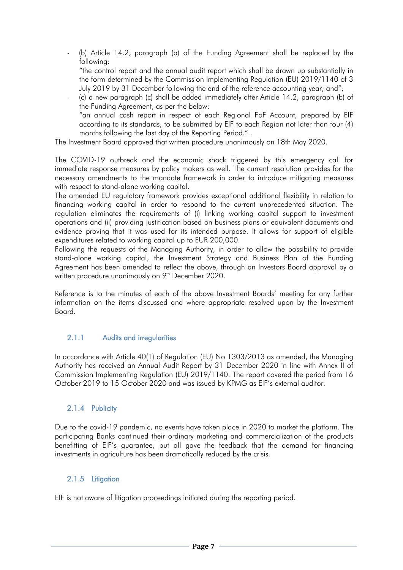- (b) Article 14.2, paragraph (b) of the Funding Agreement shall be replaced by the following:

"the control report and the annual audit report which shall be drawn up substantially in the form determined by the Commission Implementing Regulation (EU) 2019/1140 of 3 July 2019 by 31 December following the end of the reference accounting year; and";

- (c) a new paragraph (c) shall be added immediately after Article 14.2, paragraph (b) of the Funding Agreement, as per the below: "an annual cash report in respect of each Regional FoF Account, prepared by EIF

according to its standards, to be submitted by EIF to each Region not later than four (4) months following the last day of the Reporting Period."..

The Investment Board approved that written procedure unanimously on 18th May 2020.

The COVID-19 outbreak and the economic shock triggered by this emergency call for immediate response measures by policy makers as well. The current resolution provides for the necessary amendments to the mandate framework in order to introduce mitigating measures with respect to stand-alone working capital.

The amended EU regulatory framework provides exceptional additional flexibility in relation to financing working capital in order to respond to the current unprecedented situation. The regulation eliminates the requirements of (i) linking working capital support to investment operations and (ii) providing justification based on business plans or equivalent documents and evidence proving that it was used for its intended purpose. It allows for support of eligible expenditures related to working capital up to EUR 200,000.

Following the requests of the Managing Authority, in order to allow the possibility to provide stand-alone working capital, the Investment Strategy and Business Plan of the Funding Agreement has been amended to reflect the above, through an Investors Board approval by a written procedure unanimously on 9<sup>th</sup> December 2020.

Reference is to the minutes of each of the above Investment Boards' meeting for any further information on the items discussed and where appropriate resolved upon by the Investment Board.

### <span id="page-6-0"></span>2.1.1 Audits and irregularities

In accordance with Article 40(1) of Regulation (EU) No 1303/2013 as amended, the Managing Authority has received an Annual Audit Report by 31 December 2020 in line with Annex II of Commission Implementing Regulation (EU) 2019/1140. The report covered the period from 16 October 2019 to 15 October 2020 and was issued by KPMG as EIF's external auditor.

### <span id="page-6-1"></span>2.1.4 Publicity

Due to the covid-19 pandemic, no events have taken place in 2020 to market the platform. The participating Banks continued their ordinary marketing and commercialization of the products benefitting of EIF's guarantee, but all gave the feedback that the demand for financing investments in agriculture has been dramatically reduced by the crisis.

#### <span id="page-6-2"></span>2.1.5 Litigation

EIF is not aware of litigation proceedings initiated during the reporting period.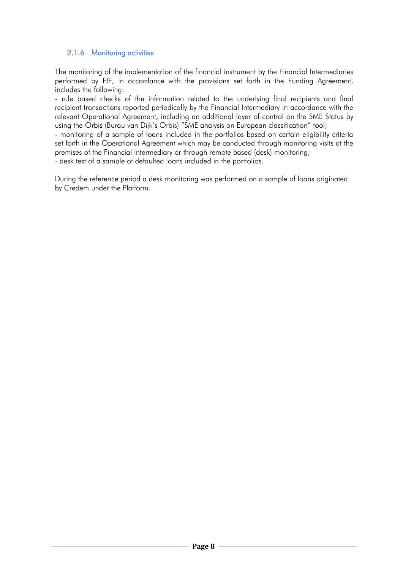### <span id="page-7-0"></span>2.1.6 Monitoring activities

The monitoring of the implementation of the financial instrument by the Financial Intermediaries performed by EIF, in accordance with the provisions set forth in the Funding Agreement, includes the following:

- rule based checks of the information related to the underlying final recipients and final recipient transactions reported periodically by the Financial Intermediary in accordance with the relevant Operational Agreement, including an additional layer of control on the SME Status by using the Orbis (Burau van Dijk's Orbis) "SME analysis on European classification" tool;

- monitoring of a sample of loans included in the portfolios based on certain eligibility criteria set forth in the Operational Agreement which may be conducted through monitoring visits at the premises of the Financial Intermediary or through remote based (desk) monitoring; - desk test of a sample of defaulted loans included in the portfolios.

During the reference period a desk monitoring was performed on a sample of loans originated by Credem under the Platform.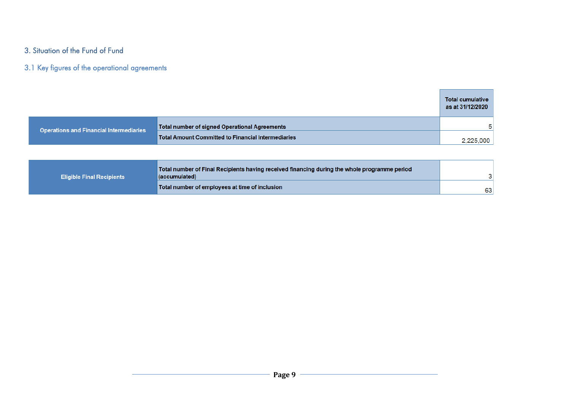### 3. Situation of the Fund of Fund

# 3.1 Key figures of the operational agreements

|                                         |                                                    | Total cumulative<br>as at 31/12/2020 |
|-----------------------------------------|----------------------------------------------------|--------------------------------------|
| Operations and Financial Intermediaries | Total number of signed Operational Agreements      | 5                                    |
|                                         | Total Amount Committed to Financial Intermediaries | 2,225,000                            |

<span id="page-8-1"></span><span id="page-8-0"></span>

| <b>Eligible Final Recipients</b> | Total number of Final Recipients having received financing during the whole programme period<br>(accumulated) |     |
|----------------------------------|---------------------------------------------------------------------------------------------------------------|-----|
|                                  | Total number of employees at time of inclusion                                                                | 631 |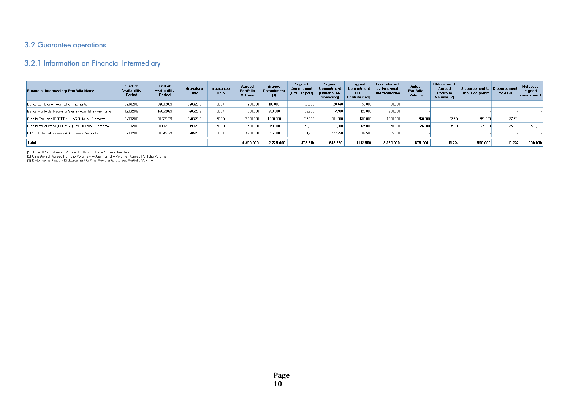#### 3.2 Guarantee operations

### 3.2.1 Information on Financial Intermediary

| Financial Intermediary Portfolio Name                    | Start of<br>Availability<br>Period | End of<br><b>Availability</b><br>Period | Signature<br>Date | Guarantee<br>Rate | Agreed<br>Portfolio<br>Volume | Signed<br>Commitment<br>(1) | Signed<br>Commitment<br>(EAFRD part) | <b>Signed</b><br>Commitment<br>[National co-<br>financingl | <b>Signed</b><br><b>Commitment</b><br><b>IEIF</b><br>Contribution | <b>Risk retained</b><br>by Financial<br>intermediaries | Actual<br>Portfolio<br>Volume | Utilisation of<br>Agreed<br>Portfolio<br>Volume (2) | Disbursement to Disbursement<br><b>Final Recipients</b> | ratio (3) | Released<br>signed<br>commitment |
|----------------------------------------------------------|------------------------------------|-----------------------------------------|-------------------|-------------------|-------------------------------|-----------------------------|--------------------------------------|------------------------------------------------------------|-------------------------------------------------------------------|--------------------------------------------------------|-------------------------------|-----------------------------------------------------|---------------------------------------------------------|-----------|----------------------------------|
| Banca Cambiano - Agri Italia - Piemonte                  | 0104/2019                          | 3103/2021                               | 2103/2019         | 50.0%             | 200,000                       | 100,000                     | 21.560                               | 28.440                                                     | 50,000                                                            | 100,000                                                |                               |                                                     |                                                         |           |                                  |
| Banca Monte dei Paschi di Siena - Agri Italia - Piemonte | 15/05/2019                         | 14/05/2021                              | 14/05/2019        | 50.0%             | 500,000                       | 250,000                     | 53,900                               | 71,100                                                     | 125,000                                                           | 250,000                                                |                               |                                                     |                                                         |           |                                  |
| Credito Emiliano (CREDEM) - AGRI Italia - Piemonte       | 0103/2019                          | 28/02/2021                              | 0103/2019         | 50.0%             | 2,000,000                     | 1,000,000                   | 215,600                              | 284,400                                                    | 500,000                                                           | 1,000,000                                              | 550,000                       | 27.5%                                               | 550,000                                                 | 27.5%     |                                  |
| Credito Valtellinese (CREVAL) - AGRI Italia - Piemonte   | 02/01/2019                         | 3112/2021                               | 24/12/2018        | 50.0%             | 500,000                       | 250,000                     | 53,900                               | 71,100                                                     | 125,000                                                           | 250,000                                                | 125,000                       | 25.0%                                               | 125,000                                                 | 25.0%     | $-500,000$                       |
| ICCREA Bancalmpresa - AGRI Italia - Piemonte             | 0105/2019                          | 30/04/2021                              | 18/04/2019        | 50.0%             | 1,250,000                     | 625,000                     | 134,750                              | 177.750                                                    | 312,500                                                           | 625,000                                                |                               |                                                     |                                                         |           |                                  |
| Total                                                    |                                    |                                         |                   |                   | 4.450.000                     | 2,225,000                   | 479.710                              | 632,790                                                    | 1.112.500                                                         | 2.225.000                                              | 675,000                       | 15.2%                                               | 550,000                                                 | 15.2%     | $-500.000$                       |

(1) Signed Commitment = Agreed Portfolio Volume \* Guarantee Rate<br>(2) Utilisation of Agreed Portfolio Volume = Actual Portfolio Volume / Agreed Portfolio Volume<br>(3) Disbursement ratio = Disbursement to Final Recipients / Ag

<span id="page-9-1"></span><span id="page-9-0"></span>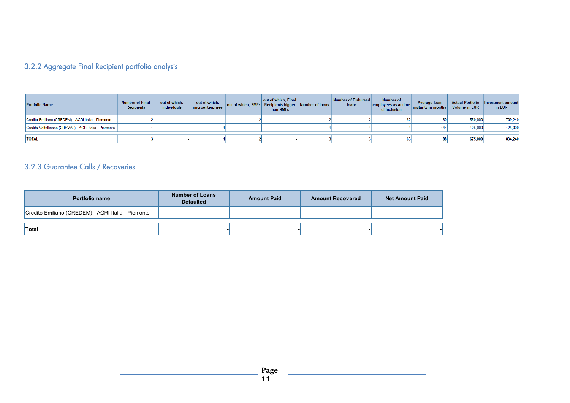# 3.2.2 Aggregate Final Recipient portfolio analysis

| <b>Portfolio Name</b>                                  | <b>Number of Final</b><br><b>Recipients</b> | out of which,<br>individuals | out of which,<br>microenterprises | out of which, SMEs Recipients bigger Number of loans | out of which, Final<br>than SMEs | Number of Disbursed<br>loans | <b>Number of</b><br>employees as at time<br>of inclusion | Average loan<br>maturity in months | <b>Actual Portfolio</b><br><b>Volume in EUR</b> | Investment amount<br>in EUR |
|--------------------------------------------------------|---------------------------------------------|------------------------------|-----------------------------------|------------------------------------------------------|----------------------------------|------------------------------|----------------------------------------------------------|------------------------------------|-------------------------------------------------|-----------------------------|
| Credito Emiliano (CREDEM) - AGRI Italia - Piemonte     |                                             |                              |                                   |                                                      |                                  |                              |                                                          |                                    | 550,000                                         | 709,240                     |
| Credito Valtellinese (CREVAL) - AGRI Italia - Piemonte |                                             |                              |                                   |                                                      |                                  |                              |                                                          | 144                                | 125,000                                         | 125,000                     |
| <b>TOTAL</b>                                           |                                             |                              |                                   |                                                      |                                  |                              |                                                          |                                    | 675,000                                         | 834,240                     |

# 3.2.3 Guarantee Calls / Recoveries

<span id="page-10-1"></span><span id="page-10-0"></span>

| <b>Portfolio name</b>                              | <b>Number of Loans</b><br><b>Defaulted</b> | <b>Amount Paid</b> | <b>Amount Recovered</b> | <b>Net Amount Paid</b> |
|----------------------------------------------------|--------------------------------------------|--------------------|-------------------------|------------------------|
| Credito Emiliano (CREDEM) - AGRI Italia - Piemonte |                                            |                    |                         |                        |
| Total                                              |                                            |                    |                         |                        |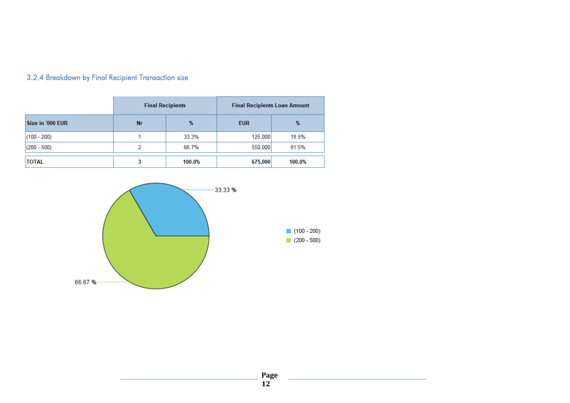|                  | <b>Final Recipients</b> |        | <b>Final Recipients Loan Amount</b> |        |  |  |
|------------------|-------------------------|--------|-------------------------------------|--------|--|--|
| Size in '000 EUR | $\frac{9}{6}$<br>Nr     |        | <b>EUR</b>                          | $\%$   |  |  |
| $(100 - 200)$    |                         | 33.3%  | 125,000                             | 18.5%  |  |  |
| $(200 - 500)$    |                         | 66.7%  | 550,000                             | 81.5%  |  |  |
| <b>TOTAL</b>     | 3                       | 100.0% | 675,000                             | 100.0% |  |  |

# 3.2.4 Breakdown by Final Recipient Transaction size

<span id="page-11-0"></span>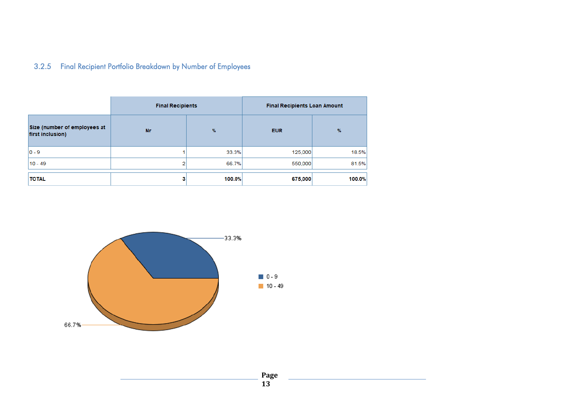# 3.2.5 Final Recipient Portfolio Breakdown by Number of Employees

|                                                  | <b>Final Recipients</b> |        | <b>Final Recipients Loan Amount</b> |               |
|--------------------------------------------------|-------------------------|--------|-------------------------------------|---------------|
| Size (number of employees at<br>first inclusion) | <b>Nr</b>               | $\%$   | <b>EUR</b>                          | $\frac{9}{6}$ |
| $ 0 - 9 $                                        |                         | 33.3%  | 125,000                             | 18.5%         |
| $10 - 49$                                        | n                       | 66.7%  | 550,000                             | 81.5%         |
| <b>TOTAL</b>                                     | 3                       | 100.0% | 675,000                             | 100.0%        |

<span id="page-12-0"></span>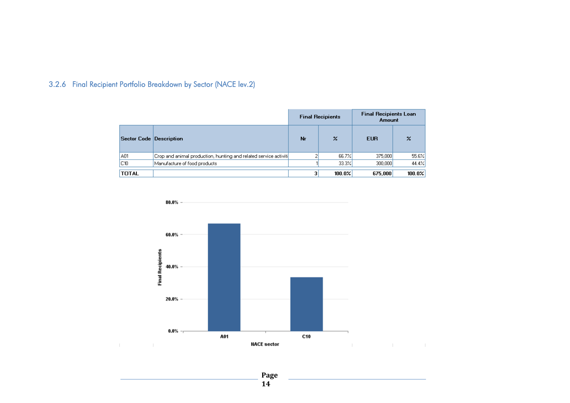# 3.2.6 Final Recipient Portfolio Breakdown by Sector (NACE lev.2)

|                         |                                                                    |    | <b>Final Recipients</b> | <b>Final Recipients Loan</b><br>Amount |               |  |  |
|-------------------------|--------------------------------------------------------------------|----|-------------------------|----------------------------------------|---------------|--|--|
| Sector Code Description |                                                                    | Nr | $\frac{9}{4}$           | <b>EUR</b>                             | $\frac{2}{4}$ |  |  |
| <b>A01</b>              | [Crop and animal production, hunting and related service activiti] |    | 66.7%                   | 375,000                                | 55.6%         |  |  |
| C10                     | Manufacture of food products                                       |    | 33.3%                   | 300,000                                | 44.4%         |  |  |
| <b>TOTAL</b>            |                                                                    | 3  | 100.0%                  | 675,000                                | 100.0%        |  |  |

<span id="page-13-0"></span>

**Page 14**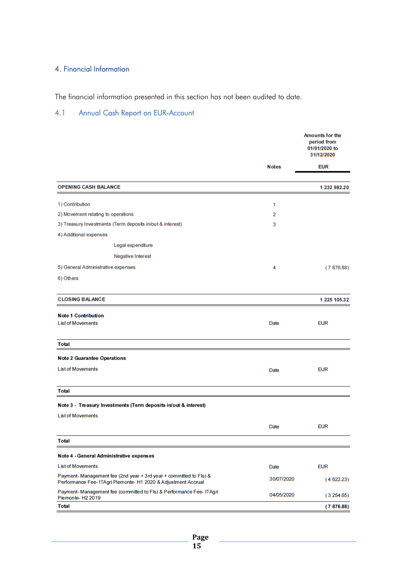### <span id="page-14-0"></span>4. Financial Information

The financial information presented in this section has not been audited to date.

# <span id="page-14-1"></span>4.1 Annual Cash Report on EUR-Account

|                                                                                                                                     |              | <b>Amounts for the</b><br>period from<br>01/01/2020 to<br>31/12/2020 |  |  |  |
|-------------------------------------------------------------------------------------------------------------------------------------|--------------|----------------------------------------------------------------------|--|--|--|
|                                                                                                                                     | <b>Notes</b> | <b>EUR</b>                                                           |  |  |  |
| <b>OPENING CASH BALANCE</b>                                                                                                         |              | 1 232 982.20                                                         |  |  |  |
| 1) Contribution                                                                                                                     | 1            |                                                                      |  |  |  |
| 2) Movement relating to operations                                                                                                  | 2            |                                                                      |  |  |  |
| 3) Treasury Investments (Term deposits in/out & interest)                                                                           | 3            |                                                                      |  |  |  |
| 4) Additional expenses                                                                                                              |              |                                                                      |  |  |  |
| Legal expenditure                                                                                                                   |              |                                                                      |  |  |  |
| <b>Negative Interest</b>                                                                                                            |              |                                                                      |  |  |  |
| 5) General Administrative expenses                                                                                                  | 4            | (7876.88)                                                            |  |  |  |
| 6) Others                                                                                                                           |              |                                                                      |  |  |  |
| <b>CLOSING BALANCE</b>                                                                                                              |              | 1 225 105.32                                                         |  |  |  |
| <b>Note 1 Contribution</b>                                                                                                          |              |                                                                      |  |  |  |
| <b>List of Movements</b>                                                                                                            | Date         | <b>EUR</b>                                                           |  |  |  |
| Total                                                                                                                               |              |                                                                      |  |  |  |
| <b>Note 2 Guarantee Operations</b>                                                                                                  |              |                                                                      |  |  |  |
| <b>List of Movements</b>                                                                                                            | Date         | <b>EUR</b>                                                           |  |  |  |
| <b>Total</b>                                                                                                                        |              |                                                                      |  |  |  |
| Note 3 - Treasury Investments (Term deposits in/out & interest)                                                                     |              |                                                                      |  |  |  |
| <b>List of Movements</b>                                                                                                            |              |                                                                      |  |  |  |
|                                                                                                                                     | Date         | <b>EUR</b>                                                           |  |  |  |
| Total                                                                                                                               |              |                                                                      |  |  |  |
| <b>Note 4 - General Administrative expenses</b>                                                                                     |              |                                                                      |  |  |  |
| <b>List of Movements</b>                                                                                                            | Date         | <b>EUR</b>                                                           |  |  |  |
| Payment-Management fee (2nd year + 3rd year + committed to FIs) &<br>Performance Fee- ITAgri Piemonte- H1 2020 & Adjustment Accrual | 30/07/2020   | (4622.23)                                                            |  |  |  |
| Payment- Management fee (committed to FIs) & Performance Fee- ITAgri<br>Piemonte-H2 2019                                            | 04/05/2020   | (3254.65)                                                            |  |  |  |
| <b>Total</b>                                                                                                                        |              | (7876.88)                                                            |  |  |  |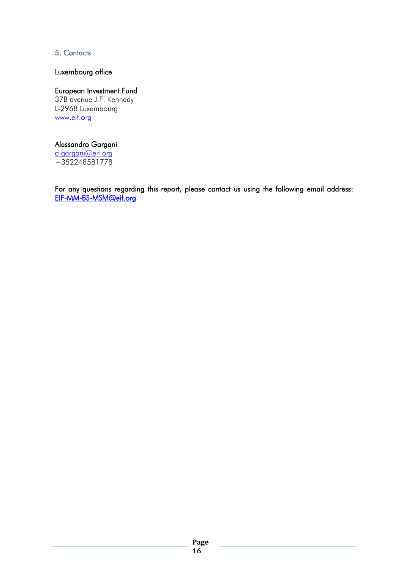### <span id="page-15-0"></span>5. Contacts

#### Luxembourg office

### European Investment Fund

37B avenue J.F. Kennedy L-2968 Luxembourg [www.eif.org](http://www.eif.org/)

### Alessandro Gargani

[a.gargani@eif.org](mailto:a.gargani@eif.org)  $+352248581778$ 

For any questions regarding this report, please contact us using the following email address: [EIF-MM-BS-MSM@eif.org](mailto:EIF-MM-BS-MSM@eif.org)